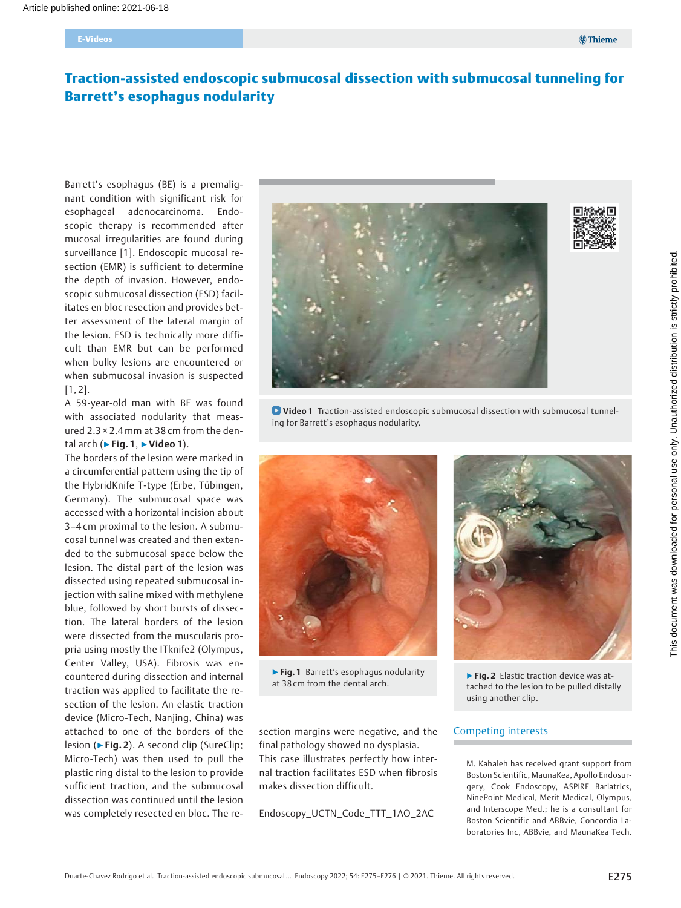# Traction-assisted endoscopic submucosal dissection with submucosal tunneling for Barrett's esophagus nodularity

Barrett's esophagus (BE) is a premalignant condition with significant risk for esophageal adenocarcinoma. Endoscopic therapy is recommended after mucosal irregularities are found during surveillance [1]. Endoscopic mucosal resection (EMR) is sufficient to determine the depth of invasion. However, endoscopic submucosal dissection (ESD) facilitates en bloc resection and provides better assessment of the lateral margin of the lesion. ESD is technically more difficult than EMR but can be performed when bulky lesions are encountered or when submucosal invasion is suspected  $[1, 2]$ .

A 59-year-old man with BE was found with associated nodularity that measured 2.3 × 2.4mm at 38 cm from the dental arch ( $\blacktriangleright$  Fig. 1,  $\blacktriangleright$  Video 1).

The borders of the lesion were marked in a circumferential pattern using the tip of the HybridKnife T-type (Erbe, Tübingen, Germany). The submucosal space was accessed with a horizontal incision about 3–4 cm proximal to the lesion. A submucosal tunnel was created and then extended to the submucosal space below the lesion. The distal part of the lesion was dissected using repeated submucosal injection with saline mixed with methylene blue, followed by short bursts of dissection. The lateral borders of the lesion were dissected from the muscularis propria using mostly the ITknife2 (Olympus, Center Valley, USA). Fibrosis was encountered during dissection and internal traction was applied to facilitate the resection of the lesion. An elastic traction device (Micro-Tech, Nanjing, China) was attached to one of the borders of the lesion (▶Fig. 2). A second clip (SureClip; Micro-Tech) was then used to pull the plastic ring distal to the lesion to provide sufficient traction, and the submucosal dissection was continued until the lesion was completely resected en bloc. The re-



Video 1 Traction-assisted endoscopic submucosal dissection with submucosal tunneling for Barrett's esophagus nodularity.



▶Fig. 1 Barrett's esophagus nodularity at 38 cm from the dental arch.

section margins were negative, and the final pathology showed no dysplasia. This case illustrates perfectly how internal traction facilitates ESD when fibrosis makes dissection difficult.

Endoscopy\_UCTN\_Code\_TTT\_1AO\_2AC



▶ Fig. 2 Elastic traction device was attached to the lesion to be pulled distally using another clip.

#### Competing interests

M. Kahaleh has received grant support from Boston Scientific, MaunaKea, Apollo Endosurgery, Cook Endoscopy, ASPIRE Bariatrics, NinePoint Medical, Merit Medical, Olympus, and Interscope Med.; he is a consultant for Boston Scientific and ABBvie, Concordia Laboratories Inc, ABBvie, and MaunaKea Tech.